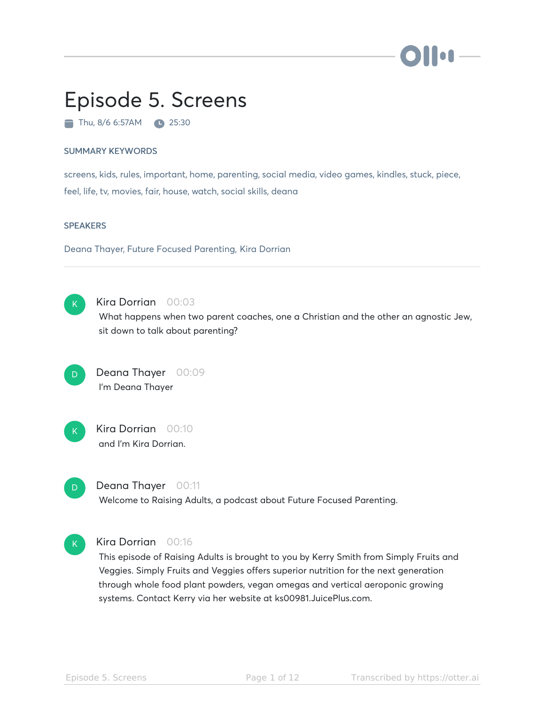# Episode 5. Screens

Thu, 8/6 6:57AM 25:30

#### SUMMARY KEYWORDS

screens, kids, rules, important, home, parenting, social media, video games, kindles, stuck, piece, feel, life, tv, movies, fair, house, watch, social skills, deana

#### **SPEAKERS**

Deana Thayer, Future Focused Parenting, Kira Dorrian



#### Kira Dorrian 00:03

What happens when two parent coaches, one a Christian and the other an agnostic Jew, sit down to talk about parenting?

Deana Thayer 00:09 I'm Deana Thayer D



### Kira Dorrian 00:10 and I'm Kira Dorrian.



#### Deana Thayer 00:11

Welcome to Raising Adults, a podcast about Future Focused Parenting.



#### Kira Dorrian 00:16

This episode of Raising Adults is brought to you by Kerry Smith from Simply Fruits and Veggies. Simply Fruits and Veggies offers superior nutrition for the next generation through whole food plant powders, vegan omegas and vertical aeroponic growing systems. Contact Kerry via her website at ks00981.JuicePlus.com.

**Ion**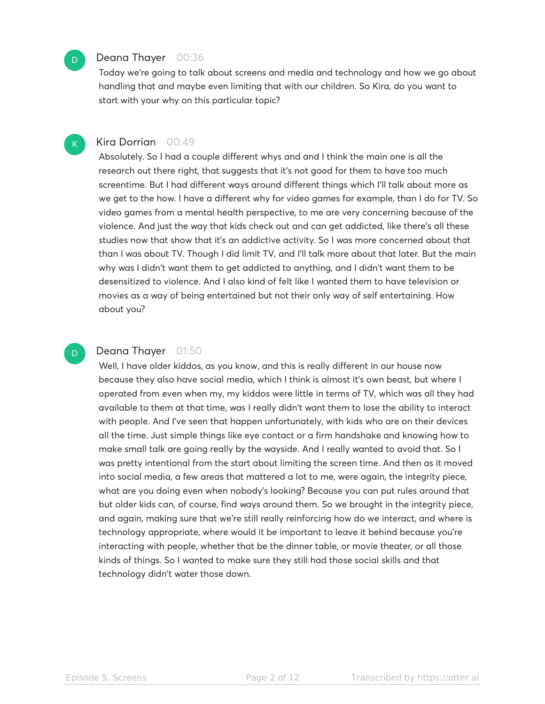#### Deana Thayer 00:36

D

 $\mathsf{K}_{\scriptscriptstyle{+}}$ 

D

Today we're going to talk about screens and media and technology and how we go about handling that and maybe even limiting that with our children. So Kira, do you want to start with your why on this particular topic?

#### Kira Dorrian 00:49

Absolutely. So I had a couple different whys and and I think the main one is all the research out there right, that suggests that it's not good for them to have too much screentime. But I had different ways around different things which I'll talk about more as we get to the how. I have a different why for video games for example, than I do for TV. So video games from a mental health perspective, to me are very concerning because of the violence. And just the way that kids check out and can get addicted, like there's all these studies now that show that it's an addictive activity. So I was more concerned about that than I was about TV. Though I did limit TV, and I'll talk more about that later. But the main why was I didn't want them to get addicted to anything, and I didn't want them to be desensitized to violence. And I also kind of felt like I wanted them to have television or movies as a way of being entertained but not their only way of self entertaining. How about you?

#### Deana Thayer 01:50

Well, I have older kiddos, as you know, and this is really different in our house now because they also have social media, which I think is almost it's own beast, but where I operated from even when my, my kiddos were little in terms of TV, which was all they had available to them at that time, was I really didn't want them to lose the ability to interact with people. And I've seen that happen unfortunately, with kids who are on their devices all the time. Just simple things like eye contact or a firm handshake and knowing how to make small talk are going really by the wayside. And I really wanted to avoid that. So I was pretty intentional from the start about limiting the screen time. And then as it moved into social media, a few areas that mattered a lot to me, were again, the integrity piece, what are you doing even when nobody's looking? Because you can put rules around that but older kids can, of course, find ways around them. So we brought in the integrity piece, and again, making sure that we're still really reinforcing how do we interact, and where is technology appropriate, where would it be important to leave it behind because you're interacting with people, whether that be the dinner table, or movie theater, or all those kinds of things. So I wanted to make sure they still had those social skills and that technology didn't water those down.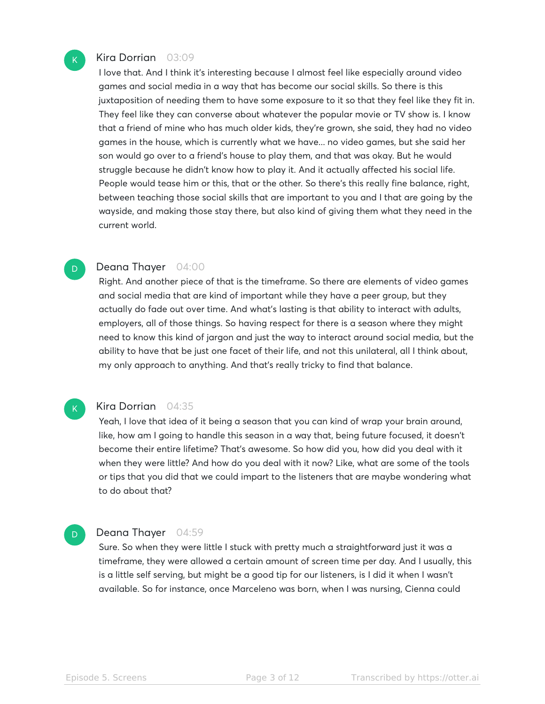

I love that. And I think it's interesting because I almost feel like especially around video games and social media in a way that has become our social skills. So there is this juxtaposition of needing them to have some exposure to it so that they feel like they fit in. They feel like they can converse about whatever the popular movie or TV show is. I know that a friend of mine who has much older kids, they're grown, she said, they had no video games in the house, which is currently what we have... no video games, but she said her son would go over to a friend's house to play them, and that was okay. But he would struggle because he didn't know how to play it. And it actually affected his social life. People would tease him or this, that or the other. So there's this really fine balance, right, between teaching those social skills that are important to you and I that are going by the wayside, and making those stay there, but also kind of giving them what they need in the current world.

#### Deana Thayer 04:00

Right. And another piece of that is the timeframe. So there are elements of video games and social media that are kind of important while they have a peer group, but they actually do fade out over time. And what's lasting is that ability to interact with adults, employers, all of those things. So having respect for there is a season where they might need to know this kind of jargon and just the way to interact around social media, but the ability to have that be just one facet of their life, and not this unilateral, all I think about, my only approach to anything. And that's really tricky to find that balance.

#### $\mathsf{K}_{\scriptscriptstyle{+}}$

D.

#### Kira Dorrian 04:35

Yeah, I love that idea of it being a season that you can kind of wrap your brain around, like, how am I going to handle this season in a way that, being future focused, it doesn't become their entire lifetime? That's awesome. So how did you, how did you deal with it when they were little? And how do you deal with it now? Like, what are some of the tools or tips that you did that we could impart to the listeners that are maybe wondering what to do about that?

#### Deana Thayer 04:59 D

Sure. So when they were little I stuck with pretty much a straightforward just it was a timeframe, they were allowed a certain amount of screen time per day. And I usually, this is a little self serving, but might be a good tip for our listeners, is I did it when I wasn't available. So for instance, once Marceleno was born, when I was nursing, Cienna could

 $\mathsf{K}_{\scriptscriptstyle{+}}$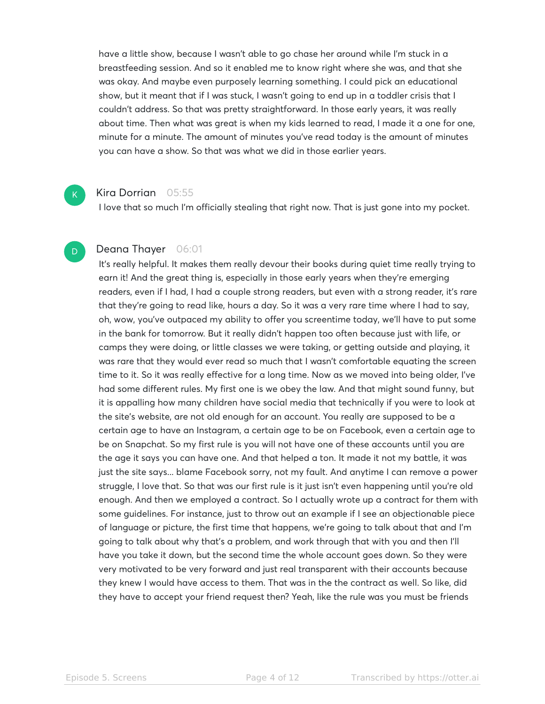have a little show, because I wasn't able to go chase her around while I'm stuck in a breastfeeding session. And so it enabled me to know right where she was, and that she was okay. And maybe even purposely learning something. I could pick an educational show, but it meant that if I was stuck, I wasn't going to end up in a toddler crisis that I couldn't address. So that was pretty straightforward. In those early years, it was really about time. Then what was great is when my kids learned to read, I made it a one for one, minute for a minute. The amount of minutes you've read today is the amount of minutes you can have a show. So that was what we did in those earlier years.

#### Kira Dorrian 05:55

 $K<sub>1</sub>$ 

D

I love that so much I'm officially stealing that right now. That is just gone into my pocket.

#### Deana Thayer 06:01

It's really helpful. It makes them really devour their books during quiet time really trying to earn it! And the great thing is, especially in those early years when they're emerging readers, even if I had, I had a couple strong readers, but even with a strong reader, it's rare that they're going to read like, hours a day. So it was a very rare time where I had to say, oh, wow, you've outpaced my ability to offer you screentime today, we'll have to put some in the bank for tomorrow. But it really didn't happen too often because just with life, or camps they were doing, or little classes we were taking, or getting outside and playing, it was rare that they would ever read so much that I wasn't comfortable equating the screen time to it. So it was really effective for a long time. Now as we moved into being older, I've had some different rules. My first one is we obey the law. And that might sound funny, but it is appalling how many children have social media that technically if you were to look at the site's website, are not old enough for an account. You really are supposed to be a certain age to have an Instagram, a certain age to be on Facebook, even a certain age to be on Snapchat. So my first rule is you will not have one of these accounts until you are the age it says you can have one. And that helped a ton. It made it not my battle, it was just the site says... blame Facebook sorry, not my fault. And anytime I can remove a power struggle, I love that. So that was our first rule is it just isn't even happening until you're old enough. And then we employed a contract. So I actually wrote up a contract for them with some guidelines. For instance, just to throw out an example if I see an objectionable piece of language or picture, the first time that happens, we're going to talk about that and I'm going to talk about why that's a problem, and work through that with you and then I'll have you take it down, but the second time the whole account goes down. So they were very motivated to be very forward and just real transparent with their accounts because they knew I would have access to them. That was in the the contract as well. So like, did they have to accept your friend request then? Yeah, like the rule was you must be friends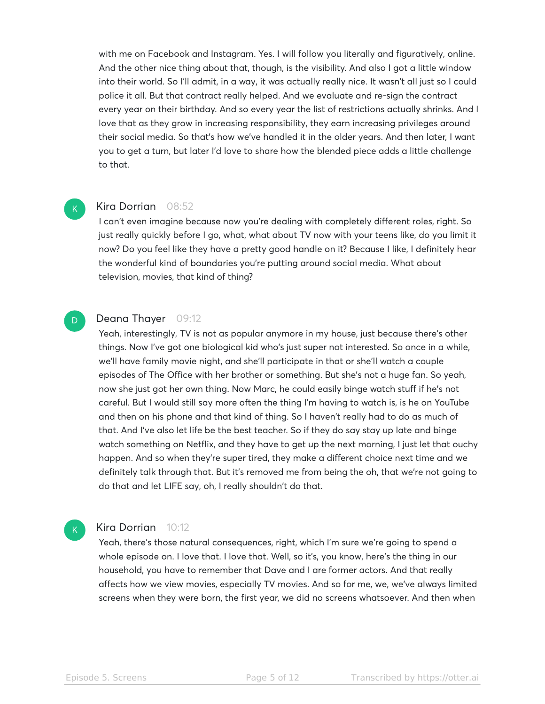with me on Facebook and Instagram. Yes. I will follow you literally and figuratively, online. And the other nice thing about that, though, is the visibility. And also I got a little window into their world. So I'll admit, in a way, it was actually really nice. It wasn't all just so I could police it all. But that contract really helped. And we evaluate and re-sign the contract every year on their birthday. And so every year the list of restrictions actually shrinks. And I love that as they grow in increasing responsibility, they earn increasing privileges around their social media. So that's how we've handled it in the older years. And then later, I want you to get a turn, but later I'd love to share how the blended piece adds a little challenge to that.

#### Kira Dorrian 08:52

 $\mathsf{K}_{\scriptscriptstyle{+}}$ 

D

 $\mathsf{K}_{\scriptscriptstyle{+}}$ 

I can't even imagine because now you're dealing with completely different roles, right. So just really quickly before I go, what, what about TV now with your teens like, do you limit it now? Do you feel like they have a pretty good handle on it? Because I like, I definitely hear the wonderful kind of boundaries you're putting around social media. What about television, movies, that kind of thing?

#### Deana Thayer 09:12

Yeah, interestingly, TV is not as popular anymore in my house, just because there's other things. Now I've got one biological kid who's just super not interested. So once in a while, we'll have family movie night, and she'll participate in that or she'll watch a couple episodes of The Office with her brother or something. But she's not a huge fan. So yeah, now she just got her own thing. Now Marc, he could easily binge watch stuff if he's not careful. But I would still say more often the thing I'm having to watch is, is he on YouTube and then on his phone and that kind of thing. So I haven't really had to do as much of that. And I've also let life be the best teacher. So if they do say stay up late and binge watch something on Netflix, and they have to get up the next morning, I just let that ouchy happen. And so when they're super tired, they make a different choice next time and we definitely talk through that. But it's removed me from being the oh, that we're not going to do that and let LIFE say, oh, I really shouldn't do that.

#### Kira Dorrian 10:12

Yeah, there's those natural consequences, right, which I'm sure we're going to spend a whole episode on. I love that. I love that. Well, so it's, you know, here's the thing in our household, you have to remember that Dave and I are former actors. And that really affects how we view movies, especially TV movies. And so for me, we, we've always limited screens when they were born, the first year, we did no screens whatsoever. And then when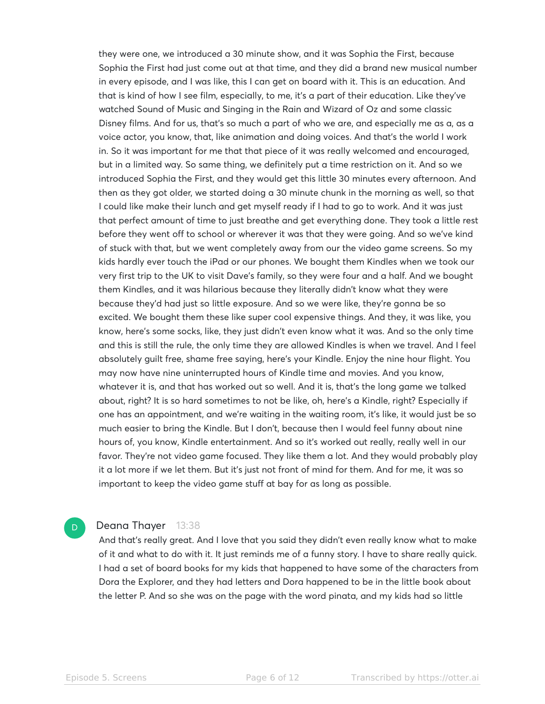they were one, we introduced a 30 minute show, and it was Sophia the First, because Sophia the First had just come out at that time, and they did a brand new musical number in every episode, and I was like, this I can get on board with it. This is an education. And that is kind of how I see film, especially, to me, it's a part of their education. Like they've watched Sound of Music and Singing in the Rain and Wizard of Oz and some classic Disney films. And for us, that's so much a part of who we are, and especially me as a, as a voice actor, you know, that, like animation and doing voices. And that's the world I work in. So it was important for me that that piece of it was really welcomed and encouraged, but in a limited way. So same thing, we definitely put a time restriction on it. And so we introduced Sophia the First, and they would get this little 30 minutes every afternoon. And then as they got older, we started doing a 30 minute chunk in the morning as well, so that I could like make their lunch and get myself ready if I had to go to work. And it was just that perfect amount of time to just breathe and get everything done. They took a little rest before they went off to school or wherever it was that they were going. And so we've kind of stuck with that, but we went completely away from our the video game screens. So my kids hardly ever touch the iPad or our phones. We bought them Kindles when we took our very first trip to the UK to visit Dave's family, so they were four and a half. And we bought them Kindles, and it was hilarious because they literally didn't know what they were because they'd had just so little exposure. And so we were like, they're gonna be so excited. We bought them these like super cool expensive things. And they, it was like, you know, here's some socks, like, they just didn't even know what it was. And so the only time and this is still the rule, the only time they are allowed Kindles is when we travel. And I feel absolutely guilt free, shame free saying, here's your Kindle. Enjoy the nine hour flight. You may now have nine uninterrupted hours of Kindle time and movies. And you know, whatever it is, and that has worked out so well. And it is, that's the long game we talked about, right? It is so hard sometimes to not be like, oh, here's a Kindle, right? Especially if one has an appointment, and we're waiting in the waiting room, it's like, it would just be so much easier to bring the Kindle. But I don't, because then I would feel funny about nine hours of, you know, Kindle entertainment. And so it's worked out really, really well in our favor. They're not video game focused. They like them a lot. And they would probably play it a lot more if we let them. But it's just not front of mind for them. And for me, it was so important to keep the video game stuff at bay for as long as possible.

#### Deana Thayer 13:38

And that's really great. And I love that you said they didn't even really know what to make of it and what to do with it. It just reminds me of a funny story. I have to share really quick. I had a set of board books for my kids that happened to have some of the characters from Dora the Explorer, and they had letters and Dora happened to be in the little book about the letter P. And so she was on the page with the word pinata, and my kids had so little

D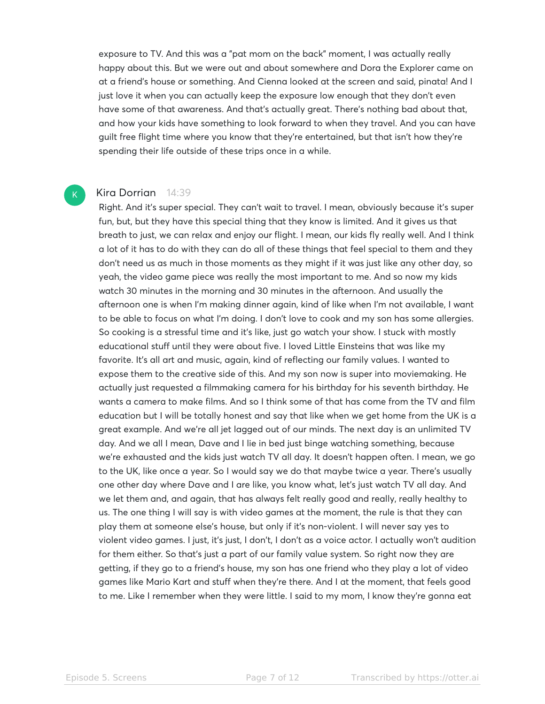exposure to TV. And this was a "pat mom on the back" moment, I was actually really happy about this. But we were out and about somewhere and Dora the Explorer came on at a friend's house or something. And Cienna looked at the screen and said, pinata! And I just love it when you can actually keep the exposure low enough that they don't even have some of that awareness. And that's actually great. There's nothing bad about that, and how your kids have something to look forward to when they travel. And you can have guilt free flight time where you know that they're entertained, but that isn't how they're spending their life outside of these trips once in a while.

#### Kira Dorrian 14:39

 $K$ 

Right. And it's super special. They can't wait to travel. I mean, obviously because it's super fun, but, but they have this special thing that they know is limited. And it gives us that breath to just, we can relax and enjoy our flight. I mean, our kids fly really well. And I think a lot of it has to do with they can do all of these things that feel special to them and they don't need us as much in those moments as they might if it was just like any other day, so yeah, the video game piece was really the most important to me. And so now my kids watch 30 minutes in the morning and 30 minutes in the afternoon. And usually the afternoon one is when I'm making dinner again, kind of like when I'm not available, I want to be able to focus on what I'm doing. I don't love to cook and my son has some allergies. So cooking is a stressful time and it's like, just go watch your show. I stuck with mostly educational stuff until they were about five. I loved Little Einsteins that was like my favorite. It's all art and music, again, kind of reflecting our family values. I wanted to expose them to the creative side of this. And my son now is super into moviemaking. He actually just requested a filmmaking camera for his birthday for his seventh birthday. He wants a camera to make films. And so I think some of that has come from the TV and film education but I will be totally honest and say that like when we get home from the UK is a great example. And we're all jet lagged out of our minds. The next day is an unlimited TV day. And we all I mean, Dave and I lie in bed just binge watching something, because we're exhausted and the kids just watch TV all day. It doesn't happen often. I mean, we go to the UK, like once a year. So I would say we do that maybe twice a year. There's usually one other day where Dave and I are like, you know what, let's just watch TV all day. And we let them and, and again, that has always felt really good and really, really healthy to us. The one thing I will say is with video games at the moment, the rule is that they can play them at someone else's house, but only if it's non-violent. I will never say yes to violent video games. I just, it's just, I don't, I don't as a voice actor. I actually won't audition for them either. So that's just a part of our family value system. So right now they are getting, if they go to a friend's house, my son has one friend who they play a lot of video games like Mario Kart and stuff when they're there. And I at the moment, that feels good to me. Like I remember when they were little. I said to my mom, I know they're gonna eat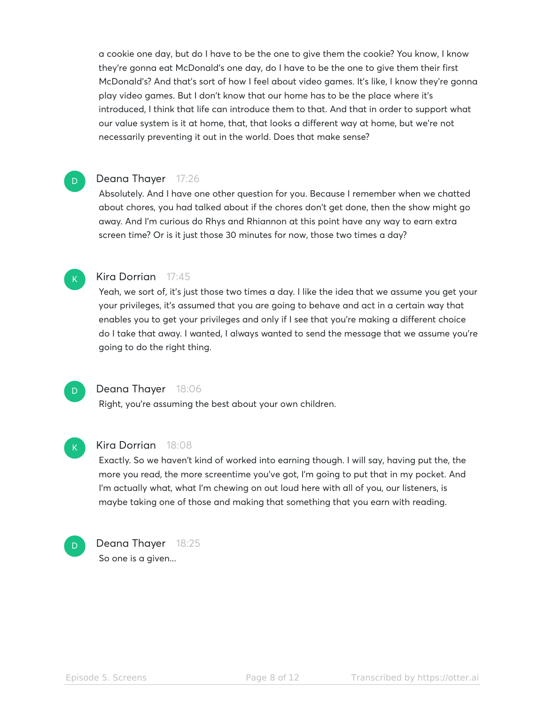a cookie one day, but do I have to be the one to give them the cookie? You know, I know they're gonna eat McDonald's one day, do I have to be the one to give them their first McDonald's? And that's sort of how I feel about video games. It's like, I know they're gonna play video games. But I don't know that our home has to be the place where it's introduced, I think that life can introduce them to that. And that in order to support what our value system is it at home, that, that looks a different way at home, but we're not necessarily preventing it out in the world. Does that make sense?

#### Deana Thayer 17:26

Absolutely. And I have one other question for you. Because I remember when we chatted about chores, you had talked about if the chores don't get done, then the show might go away. And I'm curious do Rhys and Rhiannon at this point have any way to earn extra screen time? Or is it just those 30 minutes for now, those two times a day?



D

#### Kira Dorrian 17:45

Yeah, we sort of, it's just those two times a day. I like the idea that we assume you get your your privileges, it's assumed that you are going to behave and act in a certain way that enables you to get your privileges and only if I see that you're making a different choice do I take that away. I wanted, I always wanted to send the message that we assume you're going to do the right thing.



#### Deana Thayer 18:06

Right, you're assuming the best about your own children.



#### Kira Dorrian 18:08

Exactly. So we haven't kind of worked into earning though. I will say, having put the, the more you read, the more screentime you've got, I'm going to put that in my pocket. And I'm actually what, what I'm chewing on out loud here with all of you, our listeners, is maybe taking one of those and making that something that you earn with reading.



Deana Thayer 18:25 So one is a given...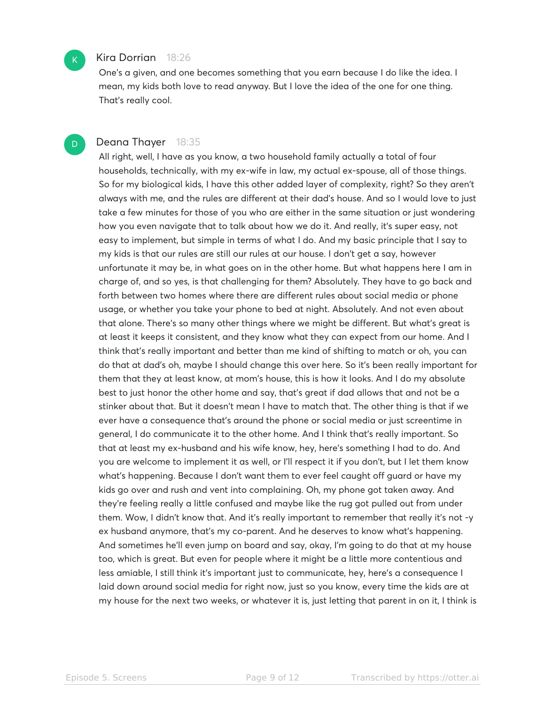#### Kira Dorrian 18:26

One's a given, and one becomes something that you earn because I do like the idea. I mean, my kids both love to read anyway. But I love the idea of the one for one thing. That's really cool.

D

 $\mathsf{K}_{\scriptscriptstyle{+}}$ 

#### Deana Thayer 18:35

All right, well, I have as you know, a two household family actually a total of four households, technically, with my ex-wife in law, my actual ex-spouse, all of those things. So for my biological kids, I have this other added layer of complexity, right? So they aren't always with me, and the rules are different at their dad's house. And so I would love to just take a few minutes for those of you who are either in the same situation or just wondering how you even navigate that to talk about how we do it. And really, it's super easy, not easy to implement, but simple in terms of what I do. And my basic principle that I say to my kids is that our rules are still our rules at our house. I don't get a say, however unfortunate it may be, in what goes on in the other home. But what happens here I am in charge of, and so yes, is that challenging for them? Absolutely. They have to go back and forth between two homes where there are different rules about social media or phone usage, or whether you take your phone to bed at night. Absolutely. And not even about that alone. There's so many other things where we might be different. But what's great is at least it keeps it consistent, and they know what they can expect from our home. And I think that's really important and better than me kind of shifting to match or oh, you can do that at dad's oh, maybe I should change this over here. So it's been really important for them that they at least know, at mom's house, this is how it looks. And I do my absolute best to just honor the other home and say, that's great if dad allows that and not be a stinker about that. But it doesn't mean I have to match that. The other thing is that if we ever have a consequence that's around the phone or social media or just screentime in general, I do communicate it to the other home. And I think that's really important. So that at least my ex-husband and his wife know, hey, here's something I had to do. And you are welcome to implement it as well, or I'll respect it if you don't, but I let them know what's happening. Because I don't want them to ever feel caught off guard or have my kids go over and rush and vent into complaining. Oh, my phone got taken away. And they're feeling really a little confused and maybe like the rug got pulled out from under them. Wow, I didn't know that. And it's really important to remember that really it's not -y ex husband anymore, that's my co-parent. And he deserves to know what's happening. And sometimes he'll even jump on board and say, okay, I'm going to do that at my house too, which is great. But even for people where it might be a little more contentious and less amiable, I still think it's important just to communicate, hey, here's a consequence I laid down around social media for right now, just so you know, every time the kids are at my house for the next two weeks, or whatever it is, just letting that parent in on it, I think is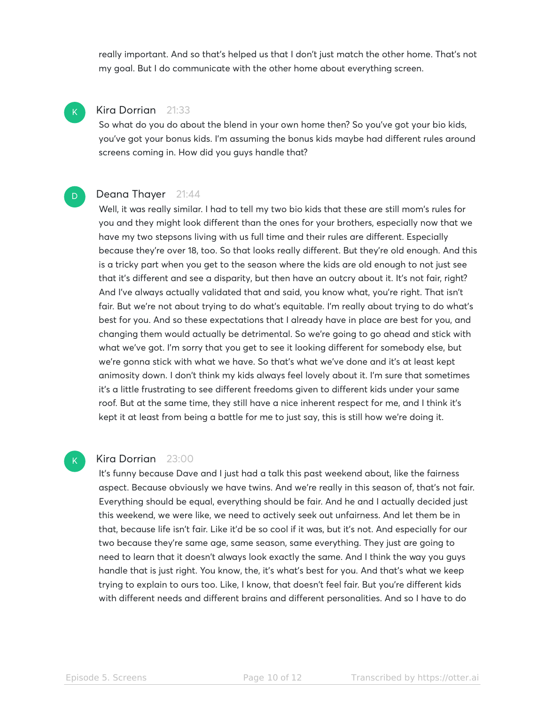really important. And so that's helped us that I don't just match the other home. That's not my goal. But I do communicate with the other home about everything screen.

## $\mathsf{K}_{\scriptscriptstyle{+}}$

D

 $\mathsf{K}_{\scriptscriptstyle{+}}$ 

#### Kira Dorrian 21:33

So what do you do about the blend in your own home then? So you've got your bio kids, you've got your bonus kids. I'm assuming the bonus kids maybe had different rules around screens coming in. How did you guys handle that?

#### Deana Thayer 21:44

Well, it was really similar. I had to tell my two bio kids that these are still mom's rules for you and they might look different than the ones for your brothers, especially now that we have my two stepsons living with us full time and their rules are different. Especially because they're over 18, too. So that looks really different. But they're old enough. And this is a tricky part when you get to the season where the kids are old enough to not just see that it's different and see a disparity, but then have an outcry about it. It's not fair, right? And I've always actually validated that and said, you know what, you're right. That isn't fair. But we're not about trying to do what's equitable. I'm really about trying to do what's best for you. And so these expectations that I already have in place are best for you, and changing them would actually be detrimental. So we're going to go ahead and stick with what we've got. I'm sorry that you get to see it looking different for somebody else, but we're gonna stick with what we have. So that's what we've done and it's at least kept animosity down. I don't think my kids always feel lovely about it. I'm sure that sometimes it's a little frustrating to see different freedoms given to different kids under your same roof. But at the same time, they still have a nice inherent respect for me, and I think it's kept it at least from being a battle for me to just say, this is still how we're doing it.

#### Kira Dorrian 23:00

It's funny because Dave and I just had a talk this past weekend about, like the fairness aspect. Because obviously we have twins. And we're really in this season of, that's not fair. Everything should be equal, everything should be fair. And he and I actually decided just this weekend, we were like, we need to actively seek out unfairness. And let them be in that, because life isn't fair. Like it'd be so cool if it was, but it's not. And especially for our two because they're same age, same season, same everything. They just are going to need to learn that it doesn't always look exactly the same. And I think the way you guys handle that is just right. You know, the, it's what's best for you. And that's what we keep trying to explain to ours too. Like, I know, that doesn't feel fair. But you're different kids with different needs and different brains and different personalities. And so I have to do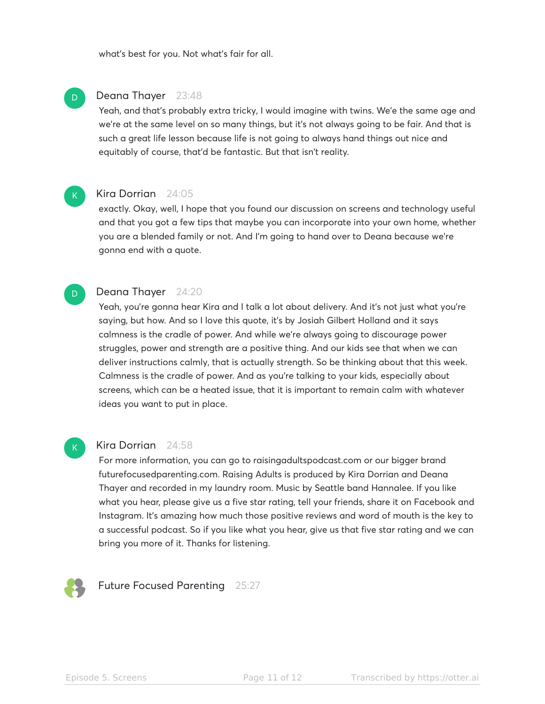what's best for you. Not what's fair for all.

#### Deana Thayer 23:48

Yeah, and that's probably extra tricky, I would imagine with twins. We'e the same age and we're at the same level on so many things, but it's not always going to be fair. And that is such a great life lesson because life is not going to always hand things out nice and equitably of course, that'd be fantastic. But that isn't reality.



D

D

#### Kira Dorrian 24:05

exactly. Okay, well, I hope that you found our discussion on screens and technology useful and that you got a few tips that maybe you can incorporate into your own home, whether you are a blended family or not. And I'm going to hand over to Deana because we're gonna end with a quote.

#### Deana Thayer 24:20

Yeah, you're gonna hear Kira and I talk a lot about delivery. And it's not just what you're saying, but how. And so I love this quote, it's by Josiah Gilbert Holland and it says calmness is the cradle of power. And while we're always going to discourage power struggles, power and strength are a positive thing. And our kids see that when we can deliver instructions calmly, that is actually strength. So be thinking about that this week. Calmness is the cradle of power. And as you're talking to your kids, especially about screens, which can be a heated issue, that it is important to remain calm with whatever ideas you want to put in place.

## $K$

#### Kira Dorrian 24:58

For more information, you can go to raisingadultspodcast.com or our bigger brand futurefocusedparenting.com. Raising Adults is produced by Kira Dorrian and Deana Thayer and recorded in my laundry room. Music by Seattle band Hannalee. If you like what you hear, please give us a five star rating, tell your friends, share it on Facebook and Instagram. It's amazing how much those positive reviews and word of mouth is the key to a successful podcast. So if you like what you hear, give us that five star rating and we can bring you more of it. Thanks for listening.



Future Focused Parenting 25:27